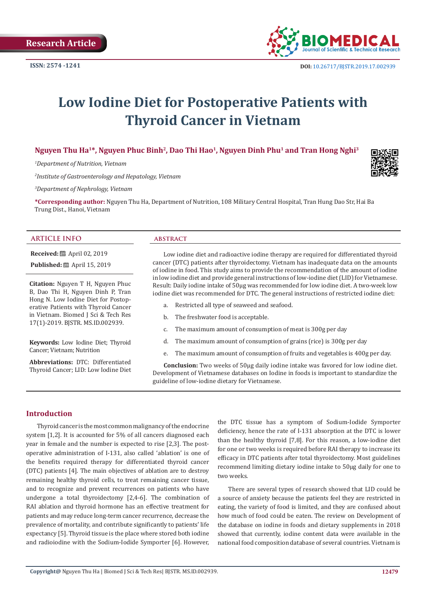

# **Low Iodine Diet for Postoperative Patients with Thyroid Cancer in Vietnam**

Nguyen Thu Ha<sup>1\*</sup>, Nguyen Phuc Binh<sup>2</sup>, Dao Thi Hao<sup>1</sup>, Nguyen Dinh Phu<sup>1</sup> and Tran Hong Nghi<sup>3</sup>

*1 Department of Nutrition, Vietnam*

*2 Institute of Gastroenterology and Hepatology, Vietnam*

*3 Department of Nephrology, Vietnam*

**\*Corresponding author:** Nguyen Thu Ha, Department of Nutrition, 108 Military Central Hospital, Tran Hung Dao Str, Hai Ba Trung Dist., Hanoi, Vietnam

#### **ARTICLE INFO abstract**

**Received:** ■ April 02, 2019

**Published:** ■ April 15, 2019

**Citation:** Nguyen T H, Nguyen Phuc B, Dao Thi H, Nguyen Dinh P, Tran Hong N. Low Iodine Diet for Postoperative Patients with Thyroid Cancer in Vietnam. Biomed J Sci & Tech Res 17(1)-2019. BJSTR. MS.ID.002939.

**Keywords:** Low Iodine Diet; Thyroid Cancer; Vietnam; Nutrition

**Abbreviations:** DTC: Differentiated Thyroid Cancer; LID: Low Iodine Diet

Low iodine diet and radioactive iodine therapy are required for differentiated thyroid cancer (DTC) patients after thyroidectomy. Vietnam has inadequate data on the amounts of iodine in food. This study aims to provide the recommendation of the amount of iodine in low iodine diet and provide general instructions of low-iodine diet (LID) for Vietnamese. Result: Daily iodine intake of 50µg was recommended for low iodine diet. A two-week low iodine diet was recommended for DTC. The general instructions of restricted iodine diet:

- a. Restricted all type of seaweed and seafood.
- b. The freshwater food is acceptable.
- c. The maximum amount of consumption of meat is 300g per day
- d. The maximum amount of consumption of grains (rice) is 300g per day
- e. The maximum amount of consumption of fruits and vegetables is 400g per day.

**Conclusion:** Two weeks of 50µg daily iodine intake was favored for low iodine diet. Development of Vietnamese databases on Iodine in foods is important to standardize the guideline of low-iodine dietary for Vietnamese.

# **Introduction**

Thyroid cancer is the most common malignancy of the endocrine system [1,2]. It is accounted for 5% of all cancers diagnosed each year in female and the number is expected to rise [2,3]. The postoperative administration of I-131, also called 'ablation' is one of the benefits required therapy for differentiated thyroid cancer (DTC) patients [4]. The main objectives of ablation are to destroy remaining healthy thyroid cells, to treat remaining cancer tissue, and to recognize and prevent recurrences on patients who have undergone a total thyroidectomy [2,4-6]. The combination of RAI ablation and thyroid hormone has an effective treatment for patients and may reduce long-term cancer recurrence, decrease the prevalence of mortality, and contribute significantly to patients' life expectancy [5]. Thyroid tissue is the place where stored both iodine and radioiodine with the Sodium-Iodide Symporter [6]. However, the DTC tissue has a symptom of Sodium-Iodide Symporter deficiency, hence the rate of I-131 absorption at the DTC is lower than the healthy thyroid [7,8]. For this reason, a low-iodine diet for one or two weeks is required before RAI therapy to increase its efficacy in DTC patients after total thyroidectomy. Most guidelines recommend limiting dietary iodine intake to 50µg daily for one to two weeks.

There are several types of research showed that LID could be a source of anxiety because the patients feel they are restricted in eating, the variety of food is limited, and they are confused about how much of food could be eaten. The review on Development of the database on iodine in foods and dietary supplements in 2018 showed that currently, iodine content data were available in the national food composition database of several countries. Vietnam is

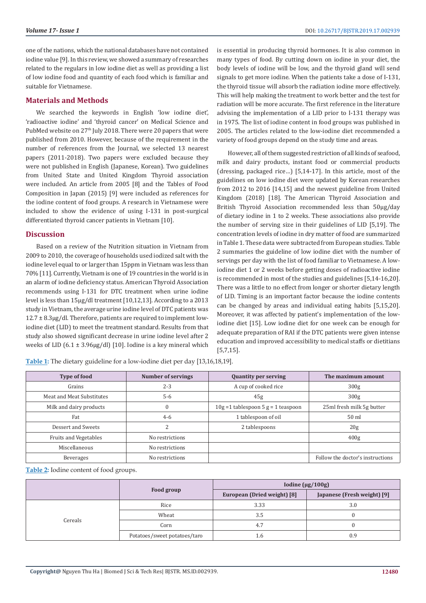one of the nations, which the national databases have not contained iodine value [9]. In this review, we showed a summary of researches related to the regulars in low iodine diet as well as providing a list of low iodine food and quantity of each food which is familiar and suitable for Vietnamese.

### **Materials and Methods**

We searched the keywords in English 'low iodine diet', 'radioactive iodine' and 'thyroid cancer' on Medical Science and PubMed website on 27<sup>th</sup> July 2018. There were 20 papers that were published from 2010. However, because of the requirement in the number of references from the Journal, we selected 13 nearest papers (2011-2018). Two papers were excluded because they were not published in English (Japanese, Korean). Two guidelines from United State and United Kingdom Thyroid association were included. An article from 2005 [8] and the Tables of Food Composition in Japan (2015) [9] were included as references for the iodine content of food groups. A research in Vietnamese were included to show the evidence of using I-131 in post-surgical differentiated thyroid cancer patients in Vietnam [10].

#### **Discussion**

Based on a review of the Nutrition situation in Vietnam from 2009 to 2010, the coverage of households used iodized salt with the iodine level equal to or larger than 15ppm in Vietnam was less than 70% [11]. Currently, Vietnam is one of 19 countries in the world is in an alarm of iodine deficiency status. American Thyroid Association recommends using I-131 for DTC treatment when urine iodine level is less than 15µg/dl treatment [10,12,13]. According to a 2013 study in Vietnam, the average urine iodine level of DTC patients was  $12.7 \pm 8.3 \mu$ g/dl. Therefore, patients are required to implement lowiodine diet (LID) to meet the treatment standard. Results from that study also showed significant decrease in urine iodine level after 2 weeks of LID (6.1 ± 3.96µg/dl) [10]. Iodine is a key mineral which

is essential in producing thyroid hormones. It is also common in many types of food. By cutting down on iodine in your diet, the body levels of iodine will be low, and the thyroid gland will send signals to get more iodine. When the patients take a dose of I-131, the thyroid tissue will absorb the radiation iodine more effectively. This will help making the treatment to work better and the test for radiation will be more accurate. The first reference in the literature advising the implementation of a LID prior to I-131 therapy was in 1975. The list of iodine content in food groups was published in 2005. The articles related to the low-iodine diet recommended a variety of food groups depend on the study time and areas.

However, all of them suggested restriction of all kinds of seafood, milk and dairy products, instant food or commercial products (dressing, packaged rice…) [5,14-17]. In this article, most of the guidelines on low iodine diet were updated by Korean researches from 2012 to 2016 [14,15] and the newest guideline from United Kingdom (2018) [18]. The American Thyroid Association and British Thyroid Association recommended less than 50µg/day of dietary iodine in 1 to 2 weeks. These associations also provide the number of serving size in their guidelines of LID [5,19]. The concentration levels of iodine in dry matter of food are summarized in Table 1. These data were subtracted from European studies. Table 2 summaries the guideline of low iodine diet with the number of servings per day with the list of food familiar to Vietnamese. A lowiodine diet 1 or 2 weeks before getting doses of radioactive iodine is recommended in most of the studies and guidelines [5,14-16,20]. There was a little to no effect from longer or shorter dietary length of LID. Timing is an important factor because the iodine contents can be changed by areas and individual eating habits [5,15,20]. Moreover, it was affected by patient's implementation of the lowiodine diet [15]. Low iodine diet for one week can be enough for adequate preparation of RAI if the DTC patients were given intense education and improved accessibility to medical staffs or dietitians [5,7,15].

| <b>Type of food</b>          | <b>Number of servings</b> | <b>Quantity per serving</b>             | The maximum amount               |  |
|------------------------------|---------------------------|-----------------------------------------|----------------------------------|--|
| Grains                       | $2 - 3$                   | A cup of cooked rice                    | 300g                             |  |
| Meat and Meat Substitutes    | $5 - 6$                   | 45g                                     | 300 <sub>g</sub>                 |  |
| Milk and dairy products      | $\theta$                  | $10g = 1$ tablespoon 5 $g = 1$ teaspoon | 25ml fresh milk 5g butter        |  |
| Fat                          | $4 - 6$                   | 1 tablespoon of oil                     | 50 ml                            |  |
| Dessert and Sweets           |                           | 2 tablespoons                           | 20g                              |  |
| <b>Fruits and Vegetables</b> | No restrictions           |                                         | 400 <sub>g</sub>                 |  |
| Miscellaneous                | No restrictions           |                                         |                                  |  |
| Beverages                    | No restrictions           |                                         | Follow the doctor's instructions |  |

**Table 1:** The dietary guideline for a low-iodine diet per day [13,16,18,19].

**Table 2:** Iodine content of food groups.

|         |                              | Iodine ( $\mu$ g/100g)      |                             |
|---------|------------------------------|-----------------------------|-----------------------------|
|         | Food group                   | European (Dried weight) [8] | Japanese (Fresh weight) [9] |
| Cereals | Rice                         | 3.33                        | 3.0                         |
|         | Wheat                        | 3.5                         |                             |
|         | Corn                         | 4.7                         |                             |
|         | Potatoes/sweet potatoes/taro | 1.6                         | 0.9                         |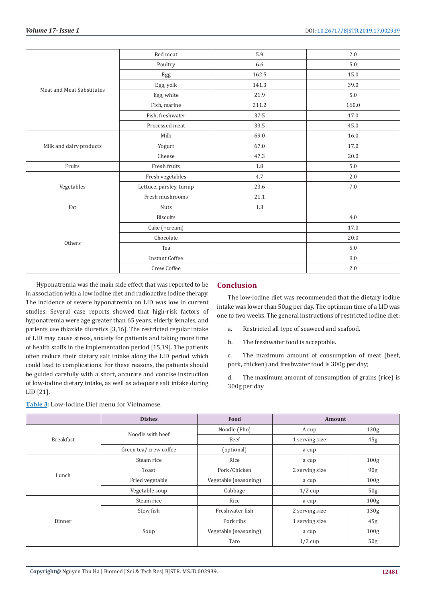| Meat and Meat Substitutes | Red meat                 | 5.9     | 2.0     |
|---------------------------|--------------------------|---------|---------|
|                           | Poultry                  | 6.6     | $5.0\,$ |
|                           | Egg                      | 162.5   | 15.0    |
|                           | Egg, yolk                | 141.3   | 39.0    |
|                           | Egg, white               | 21.9    | $5.0\,$ |
|                           | Fish, marine             | 211.2   | 160.0   |
|                           | Fish, freshwater         | 37.5    | 17.0    |
|                           | Processed meat           | 33.5    | 45.0    |
| Milk and dairy products   | Milk                     | 69.0    | 16.0    |
|                           | Yogurt                   | 67.0    | 17.0    |
|                           | Cheese                   | 47.3    | 20.0    |
| Fruits                    | Fresh fruits             | $1.8\,$ | $5.0\,$ |
|                           | Fresh vegetables         | 4.7     | 2.0     |
| Vegetables                | Lettuce, parsley, turnip | 23.6    | 7.0     |
|                           | Fresh mushrooms          | 21.1    |         |
| Fat                       | Nuts                     | $1.3\,$ |         |
| Others                    | <b>Biscuits</b>          |         | 4.0     |
|                           | Cake (+cream)            |         | 17.0    |
|                           | Chocolate                |         | 20.0    |
|                           | Tea                      |         | 5.0     |
|                           | <b>Instant Coffee</b>    |         | 8.0     |
|                           | Crew Coffee              |         | 2.0     |

Hyponatremia was the main side effect that was reported to be in association with a low iodine diet and radioactive iodine therapy. The incidence of severe hyponatremia on LID was low in current studies. Several case reports showed that high-risk factors of hyponatremia were age greater than 65 years, elderly females, and patients use thiazide diuretics [3,16]. The restricted regular intake of LID may cause stress, anxiety for patients and taking more time of health staffs in the implementation period [15,19]. The patients often reduce their dietary salt intake along the LID period which could lead to complications. For these reasons, the patients should be guided carefully with a short, accurate and concise instruction of low-iodine dietary intake, as well as adequate salt intake during LID [21].

**Table 3:** Low-Iodine Diet menu for Vietnamese.

# **Conclusion**

The low-iodine diet was recommended that the dietary iodine intake was lower than 50µg per day. The optimum time of a LID was one to two weeks. The general instructions of restricted iodine diet:

a. Restricted all type of seaweed and seafood.

b. The freshwater food is acceptable.

c. The maximum amount of consumption of meat (beef, pork, chicken) and freshwater food is 300g per day;

d. The maximum amount of consumption of grains (rice) is 300g per day

|                  | <b>Dishes</b>          | Food                  | Amount         |                  |
|------------------|------------------------|-----------------------|----------------|------------------|
| <b>Breakfast</b> | Noodle with beef       | Noodle (Pho)          | A cup          | 120 <sub>g</sub> |
|                  |                        | Beef                  | 1 serving size | 45g              |
|                  | Green tea/ crew coffee | (optional)            | a cup          |                  |
| Lunch            | Steam rice             | Rice                  | a cup          | 100 <sub>g</sub> |
|                  | Toast                  | Pork/Chicken          | 2 serving size | 90 <sub>g</sub>  |
|                  | Fried vegetable        | Vegetable (seasoning) | a cup          | 100 <sub>g</sub> |
|                  | Vegetable soup         | Cabbage               | $1/2$ cup      | 50 <sub>g</sub>  |
|                  | Steam rice             | Rice                  | a cup          | 100 <sub>g</sub> |
| Dinner           | Stew fish              | Freshwater fish       | 2 serving size | 130 <sub>g</sub> |
|                  | Soup                   | Pork ribs             | 1 serving size | 45g              |
|                  |                        | Vegetable (seasoning) | a cup          | 100 <sub>g</sub> |
|                  |                        | Taro                  | $1/2$ cup      | 50 <sub>g</sub>  |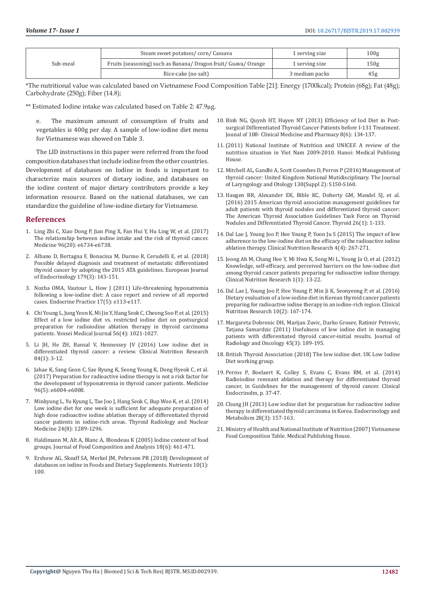| Sub-meal | Steam sweet potatoes/corn/Cassava                           | 1 serving size | 100g |
|----------|-------------------------------------------------------------|----------------|------|
|          | Fruits (seasoning) such as Banana/Dragon fruit/Guava/Orange | 1 serving size | 150g |
|          | Rice-cake (no salt)                                         | 3 medium packs | 45g  |

\*The nutritional value was calculated based on Vietnamese Food Composition Table [21]: Energy (1700kcal); Protein (68g); Fat (48g); Carbohydrate (250g); Fiber (14.8);

\*\* Estimated Iodine intake was calculated based on Table 2: 47.9µg.

e. The maximum amount of consumption of fruits and vegetables is 400g per day. A sample of low-iodine diet menu for Vietnamese was showed on Table 3.

The LID instructions in this paper were referred from the food composition databases that include iodine from the other countries. Development of databases on Iodine in foods is important to characterize main sources of dietary iodine, and databases on the iodine content of major dietary contributors provide a key information resource. Based on the national databases, we can standardize the guideline of low-iodine dietary for Vietnamese.

# **References**

- 1. [Ling Zhi C, Xiao Dong P, Jian Ping X, Fan Hui Y, Hu Ling W, et al. \(2017\)](https://www.ncbi.nlm.nih.gov/pmc/articles/PMC5440127/)  [The relationship between iodine intake and the risk of thyroid cancer.](https://www.ncbi.nlm.nih.gov/pmc/articles/PMC5440127/)  [Medicine 96\(20\): e6734-e6738.](https://www.ncbi.nlm.nih.gov/pmc/articles/PMC5440127/)
- 2. [Albano D, Bertagna F, Bonacina M, Durmo R, Cerudelli E, et al. \(2018\)](https://www.ncbi.nlm.nih.gov/pubmed/29899030)  [Possible delayed diagnosis and treatment of metastatic differentiated](https://www.ncbi.nlm.nih.gov/pubmed/29899030)  [thyroid cancer by adopting the 2015 ATA guidelines. European Journal](https://www.ncbi.nlm.nih.gov/pubmed/29899030)  [of Endocrinology 179\(3\): 143-151.](https://www.ncbi.nlm.nih.gov/pubmed/29899030)
- 3. [Nozha OMA, Vautour L, How J \(2011\) Life-threatening hyponatremia](https://www.ncbi.nlm.nih.gov/pubmed/21742612)  [following a low-iodine diet: A case report and review of all reported](https://www.ncbi.nlm.nih.gov/pubmed/21742612)  [cases. Endocrine Practice 17\(5\): e113-e117.](https://www.ncbi.nlm.nih.gov/pubmed/21742612)
- 4. [Chi Young L, Jung Yeon K, Mi Jin Y, Hang Seok C, Cheong Soo P, et al. \(2015\)](https://www.ncbi.nlm.nih.gov/pubmed/26069126)  [Effect of a low iodine diet vs. restricted iodine diet on postsurgical](https://www.ncbi.nlm.nih.gov/pubmed/26069126)  [preparation for radioiodine ablation therapy in thyroid carcinoma](https://www.ncbi.nlm.nih.gov/pubmed/26069126)  [patients. Yonsei Medical Journal 56\(4\): 1021-1027.](https://www.ncbi.nlm.nih.gov/pubmed/26069126)
- 5. [Li JH, He ZH, Bansal V, Hennessey JV \(2016\) Low iodine diet in](https://www.ncbi.nlm.nih.gov/pubmed/26118628)  [differentiated thyroid cancer: a review. Clinical Nutrition Research](https://www.ncbi.nlm.nih.gov/pubmed/26118628)  [84\(1\): 3-12.](https://www.ncbi.nlm.nih.gov/pubmed/26118628)
- 6. [Jahae K, Sang Geon C, Sae Ryung K, Seong Young K, Dong Hyeok C, et al.](https://www.ncbi.nlm.nih.gov/pmc/articles/PMC5293460/)  [\(2017\) Preparation for radioactive iodine therapy is not a risk factor for](https://www.ncbi.nlm.nih.gov/pmc/articles/PMC5293460/)  [the development of hyponatremia in thyroid cancer patients. Medicine](https://www.ncbi.nlm.nih.gov/pmc/articles/PMC5293460/)  [96\(5\): e6004-e6008.](https://www.ncbi.nlm.nih.gov/pmc/articles/PMC5293460/)
- 7. [Minkyung L, Yu Kyung L, Tae Joo J, Hang Seok C, Bup Woo K, et al. \(2014\)](https://www.ncbi.nlm.nih.gov/pubmed/24731156)  [Low iodine diet for one week is sufficient for adequate preparation of](https://www.ncbi.nlm.nih.gov/pubmed/24731156)  [high dose radioactive iodine ablation therapy of differentiated thyroid](https://www.ncbi.nlm.nih.gov/pubmed/24731156)  [cancer patients in iodine-rich areas. Thyroid Radiology and Nuclear](https://www.ncbi.nlm.nih.gov/pubmed/24731156)  [Medicine 24\(8\): 1289-1296.](https://www.ncbi.nlm.nih.gov/pubmed/24731156)
- 8. [Haldimann M, Alt A, Blanc A, Blondeau K \(2005\) Iodine content of food](https://www.sciencedirect.com/science/article/pii/S0889157504001085)  [groups. Journal of Food Composition and Analysis 18\(6\): 461-471.](https://www.sciencedirect.com/science/article/pii/S0889157504001085)
- 9. [Ershow AG, Skeaff SA, Merkel JM, Pehrsson PR \(2018\) Development of](https://www.ncbi.nlm.nih.gov/pubmed/29342090)  [databases on iodine in Foods and Dietary Supplements. Nutrients 10\(1\):](https://www.ncbi.nlm.nih.gov/pubmed/29342090)  [100.](https://www.ncbi.nlm.nih.gov/pubmed/29342090)
- 10. Binh NG, Quynh HT, Huyen NT (2013) Efficiency of Iod Diet in Postsurgical Differentiated Thyroid Cancer Patients before I-131 Treatment. Jounal of 108- Clinical Medicine and Pharmacy 8(6): 134-137.
- 11.(2011) National Institute of Nutrition and UNICEF. A review of the nutrition situation in Viet Nam 2009-2010. Hanoi: Medical Publising House.
- 12. [Mitchell AL, Gandhi A, Scott Coombes D, Perros P \(2016\) Management of](https://www.ncbi.nlm.nih.gov/pubmed/27841128) [thyroid cancer: United Kingdom National Mutidisciplinary. The Journal](https://www.ncbi.nlm.nih.gov/pubmed/27841128) [of Laryngology and Otology 130\(Suppl 2\): S150-S160.](https://www.ncbi.nlm.nih.gov/pubmed/27841128)
- 13. [Haugen BR, Alexander EK, Bible KC, Doherty GM, Mandel SJ, et al.](https://www.ncbi.nlm.nih.gov/pubmed/26462967) [\(2016\) 2015 American thyroid association management guidelines for](https://www.ncbi.nlm.nih.gov/pubmed/26462967) [adult patients with thyroid nodules and differentiated thyroid cancer:](https://www.ncbi.nlm.nih.gov/pubmed/26462967) [The American Thyroid Association Guidelines Task Force on Thyroid](https://www.ncbi.nlm.nih.gov/pubmed/26462967) [Nodules and Differentiated Thyroid Cancer. Thyroid 26\(1\): 1-133.](https://www.ncbi.nlm.nih.gov/pubmed/26462967)
- 14. [Dal Lae J, Young Joo P, Hee Young P, Yoon Ju S \(2015\) The impact of low](https://www.ncbi.nlm.nih.gov/pmc/articles/PMC4641989/) [adherence to the low-iodine diet on the efficacy of the radioactive iodine](https://www.ncbi.nlm.nih.gov/pmc/articles/PMC4641989/) [ablation therapy. Clinical Nutrition Research 4\(4\): 267-271.](https://www.ncbi.nlm.nih.gov/pmc/articles/PMC4641989/)
- 15. [Jeong Ah M, Chang Hee Y, Mi Hwa K, Song Mi L, Young Ja O, et al. \(2012\)](https://www.ncbi.nlm.nih.gov/pubmed/23430156) [Knowledge, self-efficacy, and perceived barriers on the low-iodine diet](https://www.ncbi.nlm.nih.gov/pubmed/23430156) [among thyroid cancer patients preparing for radioactive iodine therapy.](https://www.ncbi.nlm.nih.gov/pubmed/23430156) [Clinical Nutrition Research 1\(1\): 13-22.](https://www.ncbi.nlm.nih.gov/pubmed/23430156)
- 16. [Dal Lae J, Young Joo P, Hee Young P, Min Ji K, Seonyeong P, et al. \(2016\)](https://www.ncbi.nlm.nih.gov/pmc/articles/PMC4819127/) [Dietary evaluation of a low-iodine diet in Korean thyroid cancer patients](https://www.ncbi.nlm.nih.gov/pmc/articles/PMC4819127/) [preparing for radioactive iodine therapy in an iodine-rich region. Clinical](https://www.ncbi.nlm.nih.gov/pmc/articles/PMC4819127/) [Nutrition Research 10\(2\): 167-174.](https://www.ncbi.nlm.nih.gov/pmc/articles/PMC4819127/)
- 17. [Margareta Dobrenic DH, Marijan Zuvic, Darko Grosev, Ratimir Petrovic,](https://www.ncbi.nlm.nih.gov/pmc/articles/PMC3423737/) [Tatjana Samardzic \(2011\) Usefulness of low iodine diet in managing](https://www.ncbi.nlm.nih.gov/pmc/articles/PMC3423737/) [patients with differentiated thyroid cancer-initial results. Journal of](https://www.ncbi.nlm.nih.gov/pmc/articles/PMC3423737/) [Radiology and Oncology 45\(3\): 189-195.](https://www.ncbi.nlm.nih.gov/pmc/articles/PMC3423737/)
- 18. [British Thyroid Association \(2018\) The low iodine diet. UK Low Iodine](http://www.btf-thyroid.org/images/documents/Low_Iodine_Diet_Factsheet.pdf) [Diet working group.](http://www.btf-thyroid.org/images/documents/Low_Iodine_Diet_Factsheet.pdf)
- 19. Perros P, Boelaert K, Colley S, Evans C, Evans RM, et al. (2014) Radioiodine remnant ablation and therapy for differentiated thyroid cancer, in Guidelines for the management of thyroid cancer. Clinical Endocrinolm, p. 37-47.
- 20. [Chung JH \(2013\) Low iodine diet for preparation for radioactive iodine](https://www.ncbi.nlm.nih.gov/pubmed/24396673) [therapy in differentiated thyroid carcinoma in Korea. Endocrinology and](https://www.ncbi.nlm.nih.gov/pubmed/24396673) [Metabolism 28\(3\): 157-163.](https://www.ncbi.nlm.nih.gov/pubmed/24396673)
- 21. Ministry of Health and National Institute of Nutrition (2007) Vietnamese Food Composition Table. Medical Publishing House.